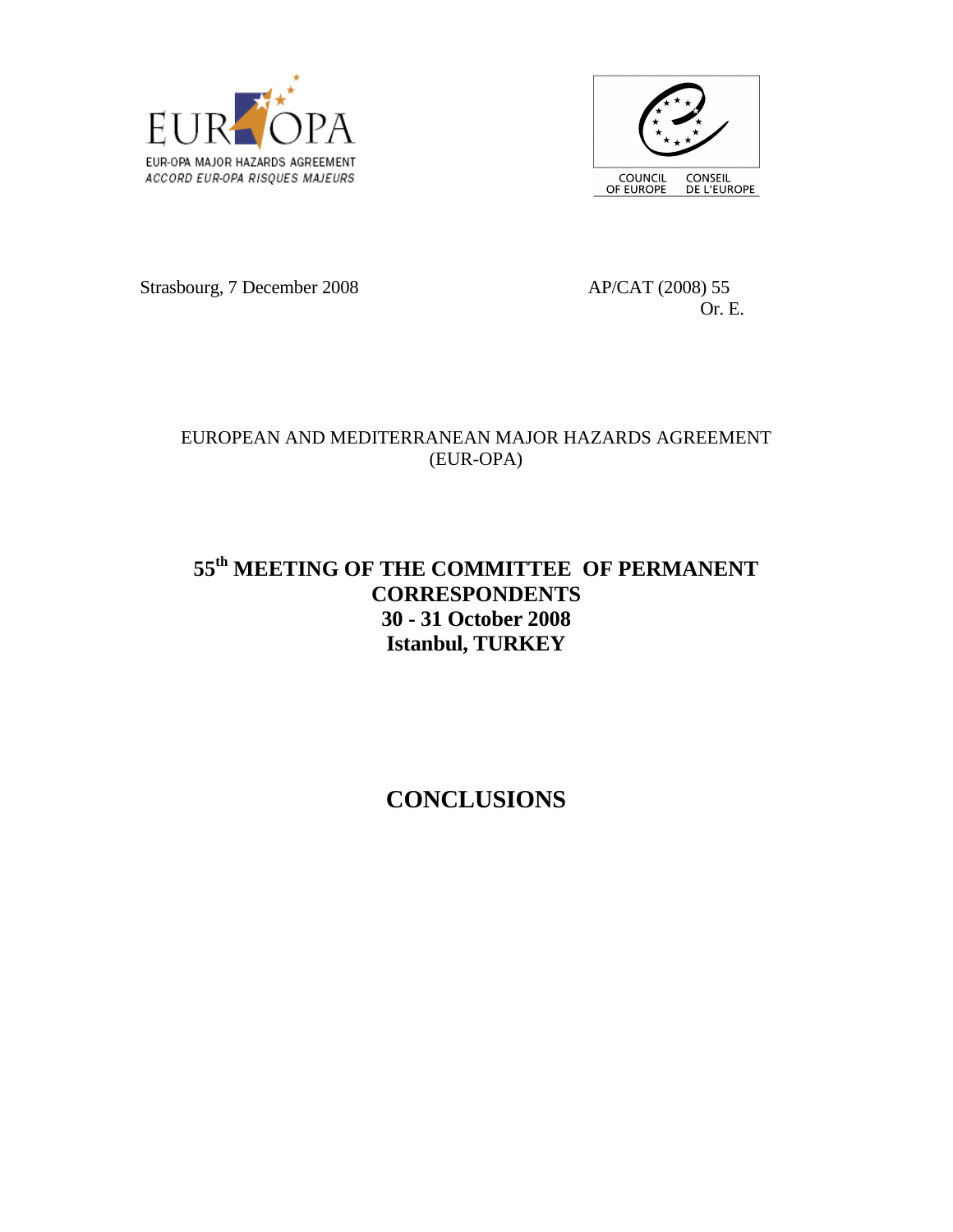



Strasbourg, 7 December 2008 AP/CAT (2008) 55

Or. E.

### EUROPEAN AND MEDITERRANEAN MAJOR HAZARDS AGREEMENT (EUR-OPA)

## **55th MEETING OF THE COMMITTEE OF PERMANENT CORRESPONDENTS 30 - 31 October 2008 Istanbul, TURKEY**

# **CONCLUSIONS**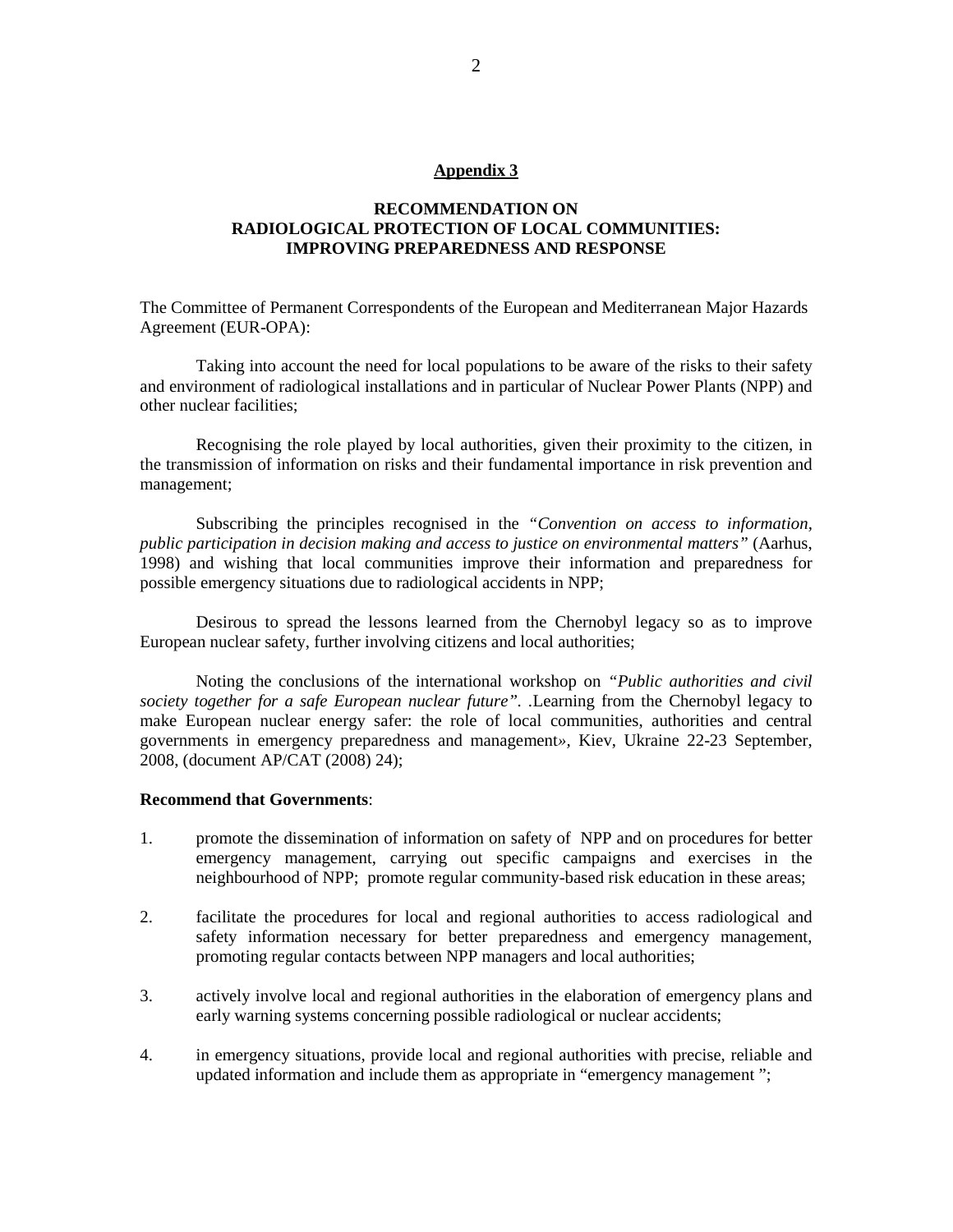#### **Appendix 3**

#### **RECOMMENDATION ON RADIOLOGICAL PROTECTION OF LOCAL COMMUNITIES: IMPROVING PREPAREDNESS AND RESPONSE**

The Committee of Permanent Correspondents of the European and Mediterranean Major Hazards Agreement (EUR-OPA):

Taking into account the need for local populations to be aware of the risks to their safety and environment of radiological installations and in particular of Nuclear Power Plants (NPP) and other nuclear facilities;

Recognising the role played by local authorities, given their proximity to the citizen, in the transmission of information on risks and their fundamental importance in risk prevention and management;

Subscribing the principles recognised in the *"Convention on access to information, public participation in decision making and access to justice on environmental matters"* (Aarhus, 1998) and wishing that local communities improve their information and preparedness for possible emergency situations due to radiological accidents in NPP;

Desirous to spread the lessons learned from the Chernobyl legacy so as to improve European nuclear safety, further involving citizens and local authorities;

Noting the conclusions of the international workshop on *"Public authorities and civil society together for a safe European nuclear future". .*Learning from the Chernobyl legacy to make European nuclear energy safer: the role of local communities, authorities and central governments in emergency preparedness and management*»,* Kiev, Ukraine 22-23 September, 2008, (document AP/CAT (2008) 24);

#### **Recommend that Governments**:

- 1. promote the dissemination of information on safety of NPP and on procedures for better emergency management, carrying out specific campaigns and exercises in the neighbourhood of NPP; promote regular community-based risk education in these areas;
- 2. facilitate the procedures for local and regional authorities to access radiological and safety information necessary for better preparedness and emergency management, promoting regular contacts between NPP managers and local authorities;
- 3. actively involve local and regional authorities in the elaboration of emergency plans and early warning systems concerning possible radiological or nuclear accidents;
- 4. in emergency situations, provide local and regional authorities with precise, reliable and updated information and include them as appropriate in "emergency management ";